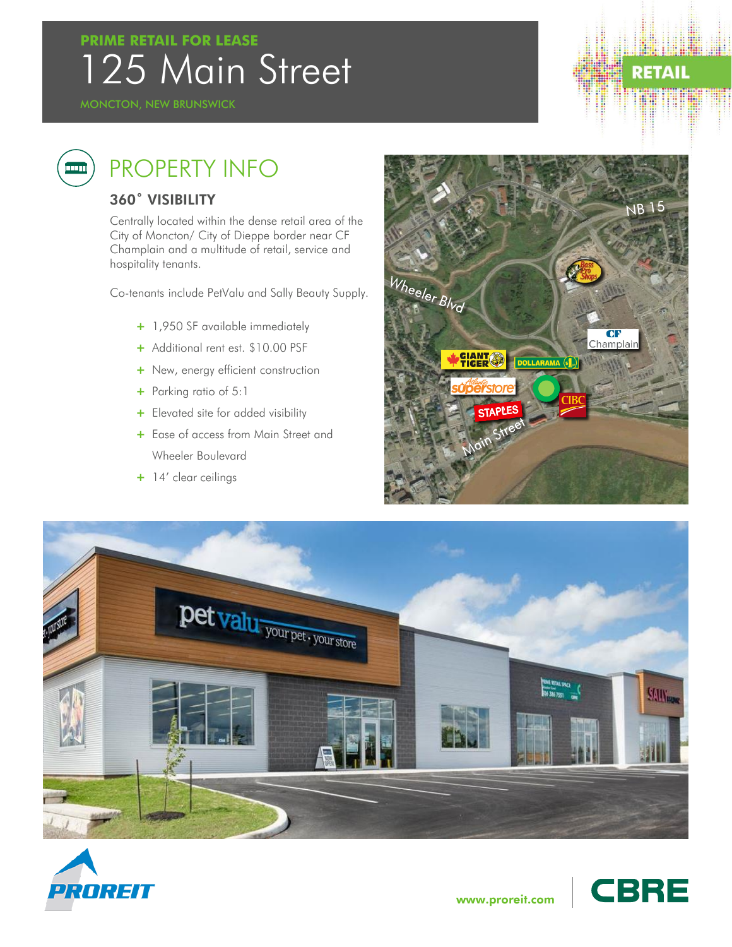### 125 Main Street **PRIME RETAIL FOR LEASE**

# **RETAIL**

## ang p

### PROPERTY INFO

#### 360˚ VISIBILITY

Centrally located within the dense retail area of the City of Moncton/ City of Dieppe border near CF Champlain and a multitude of retail, service and hospitality tenants.

Co-tenants include PetValu and Sally Beauty Supply.

- + 1,950 SF available immediately
- + Additional rent est. \$10.00 PSF
- + New, energy efficient construction
- + Parking ratio of 5:1
- + Elevated site for added visibility
- + Ease of access from Main Street and Wheeler Boulevard
- + 14' clear ceilings







**CBRE** 

www.proreit.com